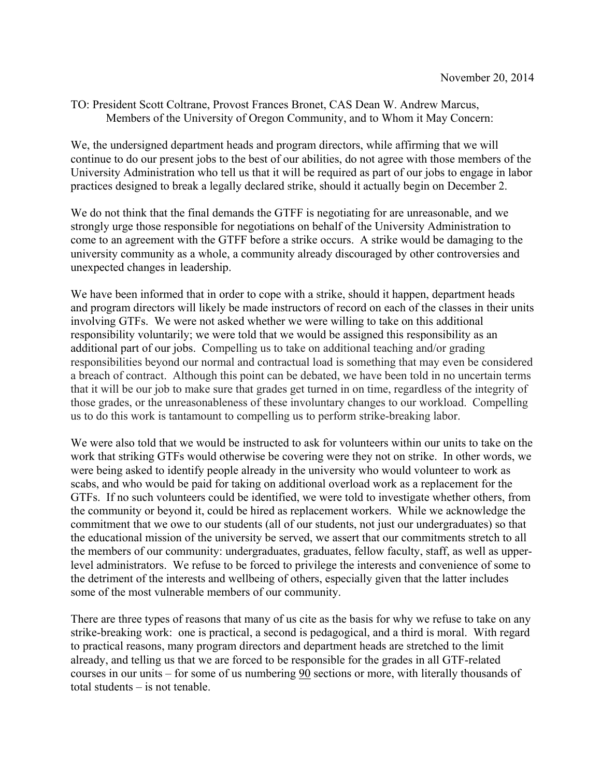## TO: President Scott Coltrane, Provost Frances Bronet, CAS Dean W. Andrew Marcus, Members of the University of Oregon Community, and to Whom it May Concern:

We, the undersigned department heads and program directors, while affirming that we will continue to do our present jobs to the best of our abilities, do not agree with those members of the University Administration who tell us that it will be required as part of our jobs to engage in labor practices designed to break a legally declared strike, should it actually begin on December 2.

We do not think that the final demands the GTFF is negotiating for are unreasonable, and we strongly urge those responsible for negotiations on behalf of the University Administration to come to an agreement with the GTFF before a strike occurs. A strike would be damaging to the university community as a whole, a community already discouraged by other controversies and unexpected changes in leadership.

We have been informed that in order to cope with a strike, should it happen, department heads and program directors will likely be made instructors of record on each of the classes in their units involving GTFs. We were not asked whether we were willing to take on this additional responsibility voluntarily; we were told that we would be assigned this responsibility as an additional part of our jobs. Compelling us to take on additional teaching and/or grading responsibilities beyond our normal and contractual load is something that may even be considered a breach of contract. Although this point can be debated, we have been told in no uncertain terms that it will be our job to make sure that grades get turned in on time, regardless of the integrity of those grades, or the unreasonableness of these involuntary changes to our workload. Compelling us to do this work is tantamount to compelling us to perform strike-breaking labor.

We were also told that we would be instructed to ask for volunteers within our units to take on the work that striking GTFs would otherwise be covering were they not on strike. In other words, we were being asked to identify people already in the university who would volunteer to work as scabs, and who would be paid for taking on additional overload work as a replacement for the GTFs. If no such volunteers could be identified, we were told to investigate whether others, from the community or beyond it, could be hired as replacement workers. While we acknowledge the commitment that we owe to our students (all of our students, not just our undergraduates) so that the educational mission of the university be served, we assert that our commitments stretch to all the members of our community: undergraduates, graduates, fellow faculty, staff, as well as upperlevel administrators. We refuse to be forced to privilege the interests and convenience of some to the detriment of the interests and wellbeing of others, especially given that the latter includes some of the most vulnerable members of our community.

There are three types of reasons that many of us cite as the basis for why we refuse to take on any strike-breaking work: one is practical, a second is pedagogical, and a third is moral. With regard to practical reasons, many program directors and department heads are stretched to the limit already, and telling us that we are forced to be responsible for the grades in all GTF-related courses in our units – for some of us numbering 90 sections or more, with literally thousands of total students – is not tenable.